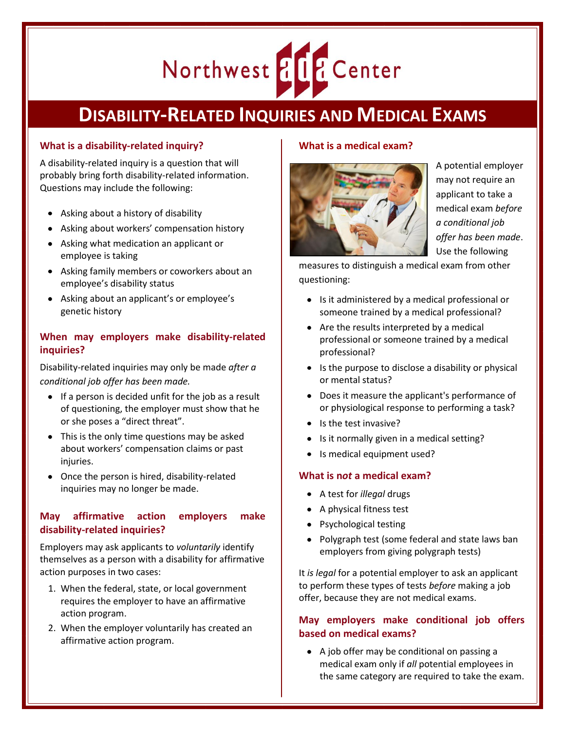# Northwest & LE Center

# **DISABILITY-RELATED INQUIRIES AND MEDICAL EXAMS**

## **What is a disability-related inquiry?**

A disability-related inquiry is a question that will probably bring forth disability-related information. Questions may include the following:

- Asking about a history of disability
- Asking about workers' compensation history
- Asking what medication an applicant or employee is taking
- Asking family members or coworkers about an employee's disability status
- Asking about an applicant's or employee's genetic history

## **When may employers make disability-related inquiries?**

Disability-related inquiries may only be made *after a conditional job offer has been made.*

- $\bullet$  If a person is decided unfit for the job as a result of questioning, the employer must show that he or she poses a "direct threat".
- This is the only time questions may be asked about workers' compensation claims or past injuries.
- Once the person is hired, disability-related inquiries may no longer be made.

# **May affirmative action employers make disability-related inquiries?**

Employers may ask applicants to *voluntarily* identify themselves as a person with a disability for affirmative action purposes in two cases:

- 1. When the federal, state, or local government requires the employer to have an affirmative action program.
- 2. When the employer voluntarily has created an affirmative action program.

#### **What is a medical exam?**



A potential employer may not require an applicant to take a medical exam *before a conditional job offer has been made*. Use the following

measures to distinguish a medical exam from other questioning:

- Is it administered by a medical professional or someone trained by a medical professional?
- Are the results interpreted by a medical professional or someone trained by a medical professional?
- $\bullet$  Is the purpose to disclose a disability or physical or mental status?
- Does it measure the applicant's performance of or physiological response to performing a task?
- Is the test invasive?
- Is it normally given in a medical setting?
- Is medical equipment used?

#### **What is n***ot* **a medical exam?**

- A test for *illegal* drugs
- A physical fitness test
- Psychological testing
- Polygraph test (some federal and state laws ban employers from giving polygraph tests)

It *is legal* for a potential employer to ask an applicant to perform these types of tests *before* making a job offer, because they are not medical exams.

#### **May employers make conditional job offers based on medical exams?**

A job offer may be conditional on passing a medical exam only if *all* potential employees in the same category are required to take the exam.